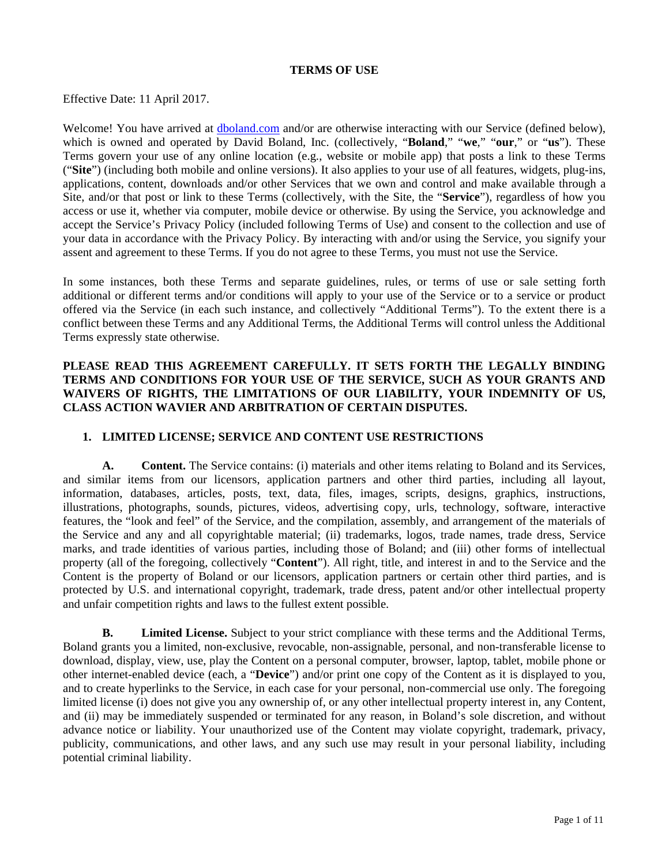#### **TERMS OF USE**

Effective Date: 11 April 2017.

Welcome! You have arrived at dboland.com and/or are otherwise interacting with our Service (defined below), which is owned and operated by David Boland, Inc. (collectively, "**Boland**," "**we**," "**our**," or "**us**"). These Terms govern your use of any online location (e.g*.*, website or mobile app) that posts a link to these Terms ("**Site**") (including both mobile and online versions). It also applies to your use of all features, widgets, plug-ins, applications, content, downloads and/or other Services that we own and control and make available through a Site, and/or that post or link to these Terms (collectively, with the Site, the "**Service**"), regardless of how you access or use it, whether via computer, mobile device or otherwise. By using the Service, you acknowledge and accept the Service's Privacy Policy (included following Terms of Use) and consent to the collection and use of your data in accordance with the Privacy Policy. By interacting with and/or using the Service, you signify your assent and agreement to these Terms. If you do not agree to these Terms, you must not use the Service.

In some instances, both these Terms and separate guidelines, rules, or terms of use or sale setting forth additional or different terms and/or conditions will apply to your use of the Service or to a service or product offered via the Service (in each such instance, and collectively "Additional Terms"). To the extent there is a conflict between these Terms and any Additional Terms, the Additional Terms will control unless the Additional Terms expressly state otherwise.

### **PLEASE READ THIS AGREEMENT CAREFULLY. IT SETS FORTH THE LEGALLY BINDING TERMS AND CONDITIONS FOR YOUR USE OF THE SERVICE, SUCH AS YOUR GRANTS AND WAIVERS OF RIGHTS, THE LIMITATIONS OF OUR LIABILITY, YOUR INDEMNITY OF US, CLASS ACTION WAVIER AND ARBITRATION OF CERTAIN DISPUTES.**

#### **1. LIMITED LICENSE; SERVICE AND CONTENT USE RESTRICTIONS**

**A. Content.** The Service contains: (i) materials and other items relating to Boland and its Services, and similar items from our licensors, application partners and other third parties, including all layout, information, databases, articles, posts, text, data, files, images, scripts, designs, graphics, instructions, illustrations, photographs, sounds, pictures, videos, advertising copy, urls, technology, software, interactive features, the "look and feel" of the Service, and the compilation, assembly, and arrangement of the materials of the Service and any and all copyrightable material; (ii) trademarks, logos, trade names, trade dress, Service marks, and trade identities of various parties, including those of Boland; and (iii) other forms of intellectual property (all of the foregoing, collectively "**Content**"). All right, title, and interest in and to the Service and the Content is the property of Boland or our licensors, application partners or certain other third parties, and is protected by U.S. and international copyright, trademark, trade dress, patent and/or other intellectual property and unfair competition rights and laws to the fullest extent possible.

**B. Limited License.** Subject to your strict compliance with these terms and the Additional Terms, Boland grants you a limited, non-exclusive, revocable, non-assignable, personal, and non-transferable license to download, display, view, use, play the Content on a personal computer, browser, laptop, tablet, mobile phone or other internet-enabled device (each, a "**Device**") and/or print one copy of the Content as it is displayed to you, and to create hyperlinks to the Service, in each case for your personal, non-commercial use only. The foregoing limited license (i) does not give you any ownership of, or any other intellectual property interest in, any Content, and (ii) may be immediately suspended or terminated for any reason, in Boland's sole discretion, and without advance notice or liability. Your unauthorized use of the Content may violate copyright, trademark, privacy, publicity, communications, and other laws, and any such use may result in your personal liability, including potential criminal liability.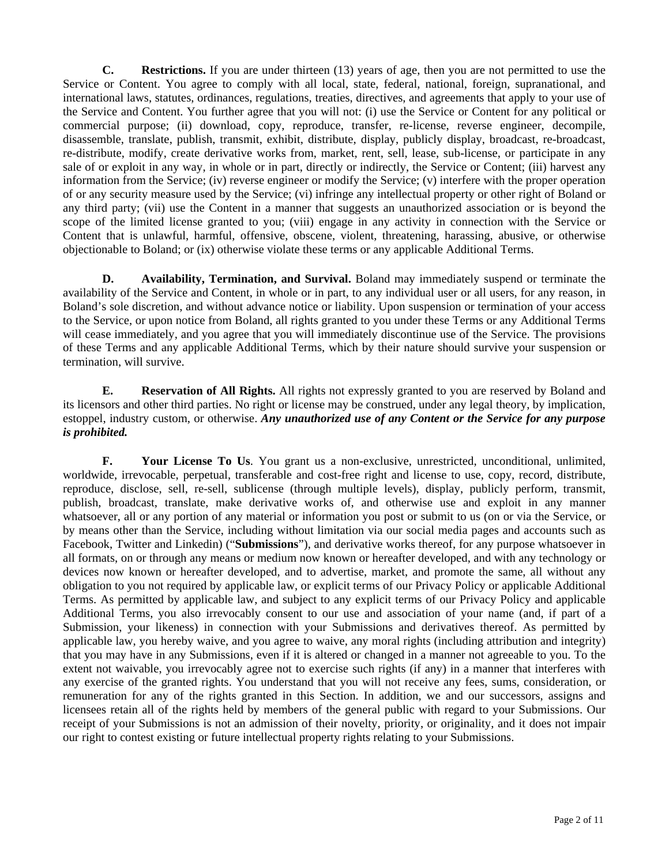**C. Restrictions.** If you are under thirteen (13) years of age, then you are not permitted to use the Service or Content. You agree to comply with all local, state, federal, national, foreign, supranational, and international laws, statutes, ordinances, regulations, treaties, directives, and agreements that apply to your use of the Service and Content. You further agree that you will not: (i) use the Service or Content for any political or commercial purpose; (ii) download, copy, reproduce, transfer, re-license, reverse engineer, decompile, disassemble, translate, publish, transmit, exhibit, distribute, display, publicly display, broadcast, re-broadcast, re-distribute, modify, create derivative works from, market, rent, sell, lease, sub-license, or participate in any sale of or exploit in any way, in whole or in part, directly or indirectly, the Service or Content; (iii) harvest any information from the Service; (iv) reverse engineer or modify the Service; (v) interfere with the proper operation of or any security measure used by the Service; (vi) infringe any intellectual property or other right of Boland or any third party; (vii) use the Content in a manner that suggests an unauthorized association or is beyond the scope of the limited license granted to you; (viii) engage in any activity in connection with the Service or Content that is unlawful, harmful, offensive, obscene, violent, threatening, harassing, abusive, or otherwise objectionable to Boland; or (ix) otherwise violate these terms or any applicable Additional Terms.

**D. Availability, Termination, and Survival.** Boland may immediately suspend or terminate the availability of the Service and Content, in whole or in part, to any individual user or all users, for any reason, in Boland's sole discretion, and without advance notice or liability. Upon suspension or termination of your access to the Service, or upon notice from Boland, all rights granted to you under these Terms or any Additional Terms will cease immediately, and you agree that you will immediately discontinue use of the Service. The provisions of these Terms and any applicable Additional Terms, which by their nature should survive your suspension or termination, will survive.

**E. Reservation of All Rights.** All rights not expressly granted to you are reserved by Boland and its licensors and other third parties. No right or license may be construed, under any legal theory, by implication, estoppel, industry custom, or otherwise. *Any unauthorized use of any Content or the Service for any purpose is prohibited.* 

**F. Your License To Us**. You grant us a non-exclusive, unrestricted, unconditional, unlimited, worldwide, irrevocable, perpetual, transferable and cost-free right and license to use, copy, record, distribute, reproduce, disclose, sell, re-sell, sublicense (through multiple levels), display, publicly perform, transmit, publish, broadcast, translate, make derivative works of, and otherwise use and exploit in any manner whatsoever, all or any portion of any material or information you post or submit to us (on or via the Service, or by means other than the Service, including without limitation via our social media pages and accounts such as Facebook, Twitter and Linkedin) ("**Submissions**"), and derivative works thereof, for any purpose whatsoever in all formats, on or through any means or medium now known or hereafter developed, and with any technology or devices now known or hereafter developed, and to advertise, market, and promote the same, all without any obligation to you not required by applicable law, or explicit terms of our Privacy Policy or applicable Additional Terms. As permitted by applicable law, and subject to any explicit terms of our Privacy Policy and applicable Additional Terms, you also irrevocably consent to our use and association of your name (and, if part of a Submission, your likeness) in connection with your Submissions and derivatives thereof. As permitted by applicable law, you hereby waive, and you agree to waive, any moral rights (including attribution and integrity) that you may have in any Submissions, even if it is altered or changed in a manner not agreeable to you. To the extent not waivable, you irrevocably agree not to exercise such rights (if any) in a manner that interferes with any exercise of the granted rights. You understand that you will not receive any fees, sums, consideration, or remuneration for any of the rights granted in this Section. In addition, we and our successors, assigns and licensees retain all of the rights held by members of the general public with regard to your Submissions. Our receipt of your Submissions is not an admission of their novelty, priority, or originality, and it does not impair our right to contest existing or future intellectual property rights relating to your Submissions.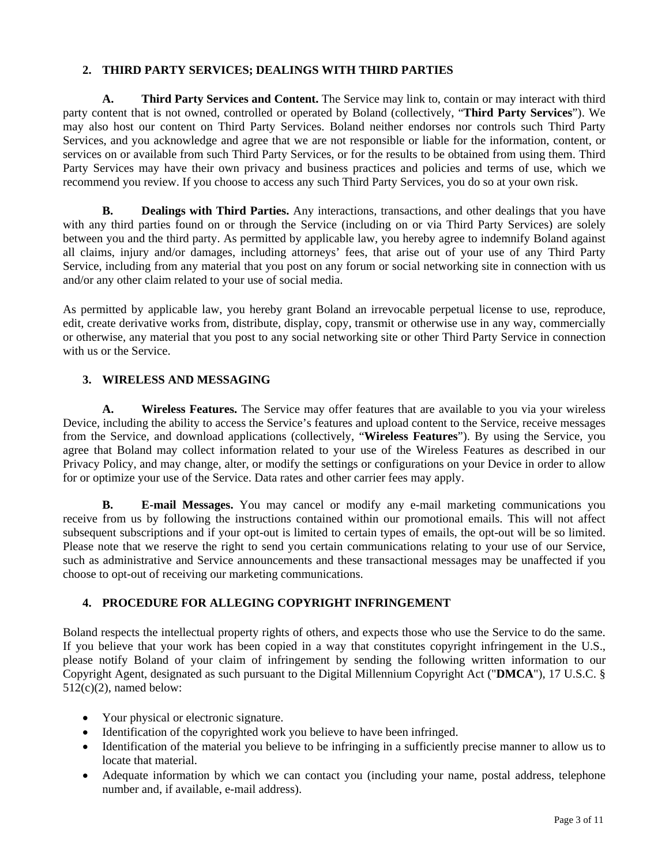## **2. THIRD PARTY SERVICES; DEALINGS WITH THIRD PARTIES**

**A. Third Party Services and Content.** The Service may link to, contain or may interact with third party content that is not owned, controlled or operated by Boland (collectively, "**Third Party Services**"). We may also host our content on Third Party Services. Boland neither endorses nor controls such Third Party Services, and you acknowledge and agree that we are not responsible or liable for the information, content, or services on or available from such Third Party Services, or for the results to be obtained from using them. Third Party Services may have their own privacy and business practices and policies and terms of use, which we recommend you review. If you choose to access any such Third Party Services, you do so at your own risk.

**B.** Dealings with Third Parties. Any interactions, transactions, and other dealings that you have with any third parties found on or through the Service (including on or via Third Party Services) are solely between you and the third party. As permitted by applicable law, you hereby agree to indemnify Boland against all claims, injury and/or damages, including attorneys' fees, that arise out of your use of any Third Party Service, including from any material that you post on any forum or social networking site in connection with us and/or any other claim related to your use of social media.

As permitted by applicable law, you hereby grant Boland an irrevocable perpetual license to use, reproduce, edit, create derivative works from, distribute, display, copy, transmit or otherwise use in any way, commercially or otherwise, any material that you post to any social networking site or other Third Party Service in connection with us or the Service.

## **3. WIRELESS AND MESSAGING**

**A. Wireless Features.** The Service may offer features that are available to you via your wireless Device, including the ability to access the Service's features and upload content to the Service, receive messages from the Service, and download applications (collectively, "**Wireless Features**"). By using the Service, you agree that Boland may collect information related to your use of the Wireless Features as described in our Privacy Policy, and may change, alter, or modify the settings or configurations on your Device in order to allow for or optimize your use of the Service. Data rates and other carrier fees may apply.

**B. E-mail Messages.** You may cancel or modify any e-mail marketing communications you receive from us by following the instructions contained within our promotional emails. This will not affect subsequent subscriptions and if your opt-out is limited to certain types of emails, the opt-out will be so limited. Please note that we reserve the right to send you certain communications relating to your use of our Service, such as administrative and Service announcements and these transactional messages may be unaffected if you choose to opt-out of receiving our marketing communications.

# **4. PROCEDURE FOR ALLEGING COPYRIGHT INFRINGEMENT**

Boland respects the intellectual property rights of others, and expects those who use the Service to do the same. If you believe that your work has been copied in a way that constitutes copyright infringement in the U.S., please notify Boland of your claim of infringement by sending the following written information to our Copyright Agent, designated as such pursuant to the Digital Millennium Copyright Act ("**DMCA**"), 17 U.S.C. §  $512(c)(2)$ , named below:

- Your physical or electronic signature.
- Identification of the copyrighted work you believe to have been infringed.
- Identification of the material you believe to be infringing in a sufficiently precise manner to allow us to locate that material.
- Adequate information by which we can contact you (including your name, postal address, telephone number and, if available, e-mail address).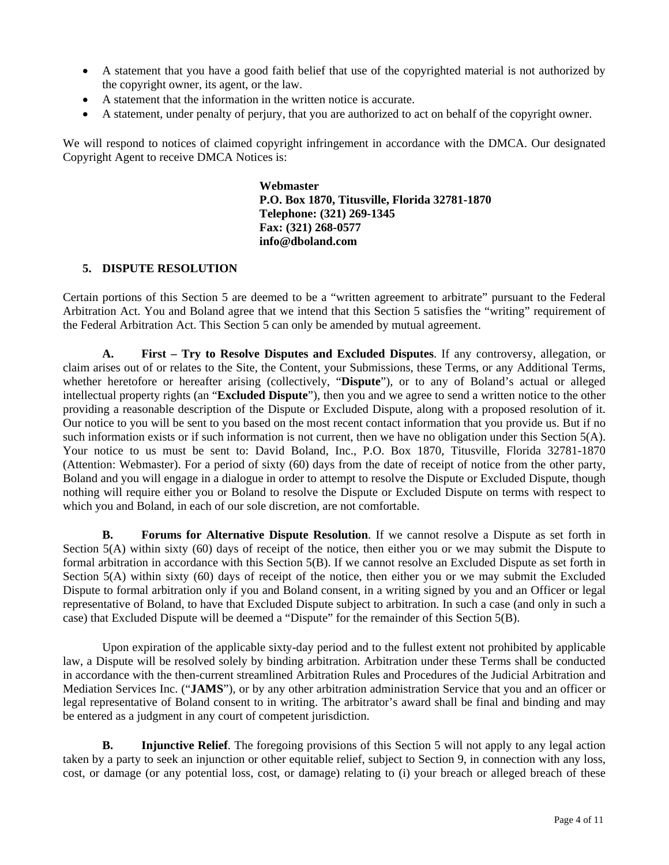- A statement that you have a good faith belief that use of the copyrighted material is not authorized by the copyright owner, its agent, or the law.
- A statement that the information in the written notice is accurate.
- A statement, under penalty of perjury, that you are authorized to act on behalf of the copyright owner.

We will respond to notices of claimed copyright infringement in accordance with the DMCA. Our designated Copyright Agent to receive DMCA Notices is:

> **Webmaster P.O. Box 1870, Titusville, Florida 32781-1870 Telephone: (321) 269-1345 Fax: (321) 268-0577 info@dboland.com**

### **5. DISPUTE RESOLUTION**

Certain portions of this Section 5 are deemed to be a "written agreement to arbitrate" pursuant to the Federal Arbitration Act. You and Boland agree that we intend that this Section 5 satisfies the "writing" requirement of the Federal Arbitration Act. This Section 5 can only be amended by mutual agreement.

**A. First – Try to Resolve Disputes and Excluded Disputes**. If any controversy, allegation, or claim arises out of or relates to the Site, the Content, your Submissions, these Terms, or any Additional Terms, whether heretofore or hereafter arising (collectively, "**Dispute**"), or to any of Boland's actual or alleged intellectual property rights (an "**Excluded Dispute**"), then you and we agree to send a written notice to the other providing a reasonable description of the Dispute or Excluded Dispute, along with a proposed resolution of it. Our notice to you will be sent to you based on the most recent contact information that you provide us. But if no such information exists or if such information is not current, then we have no obligation under this Section 5(A). Your notice to us must be sent to: David Boland, Inc., P.O. Box 1870, Titusville, Florida 32781-1870 (Attention: Webmaster). For a period of sixty (60) days from the date of receipt of notice from the other party, Boland and you will engage in a dialogue in order to attempt to resolve the Dispute or Excluded Dispute, though nothing will require either you or Boland to resolve the Dispute or Excluded Dispute on terms with respect to which you and Boland, in each of our sole discretion, are not comfortable.

**B. Forums for Alternative Dispute Resolution**. If we cannot resolve a Dispute as set forth in Section 5(A) within sixty (60) days of receipt of the notice, then either you or we may submit the Dispute to formal arbitration in accordance with this Section 5(B). If we cannot resolve an Excluded Dispute as set forth in Section 5(A) within sixty (60) days of receipt of the notice, then either you or we may submit the Excluded Dispute to formal arbitration only if you and Boland consent, in a writing signed by you and an Officer or legal representative of Boland, to have that Excluded Dispute subject to arbitration. In such a case (and only in such a case) that Excluded Dispute will be deemed a "Dispute" for the remainder of this Section 5(B).

Upon expiration of the applicable sixty-day period and to the fullest extent not prohibited by applicable law, a Dispute will be resolved solely by binding arbitration. Arbitration under these Terms shall be conducted in accordance with the then-current streamlined Arbitration Rules and Procedures of the Judicial Arbitration and Mediation Services Inc. ("**JAMS**"), or by any other arbitration administration Service that you and an officer or legal representative of Boland consent to in writing. The arbitrator's award shall be final and binding and may be entered as a judgment in any court of competent jurisdiction.

**B. Injunctive Relief**. The foregoing provisions of this Section 5 will not apply to any legal action taken by a party to seek an injunction or other equitable relief, subject to Section 9, in connection with any loss, cost, or damage (or any potential loss, cost, or damage) relating to (i) your breach or alleged breach of these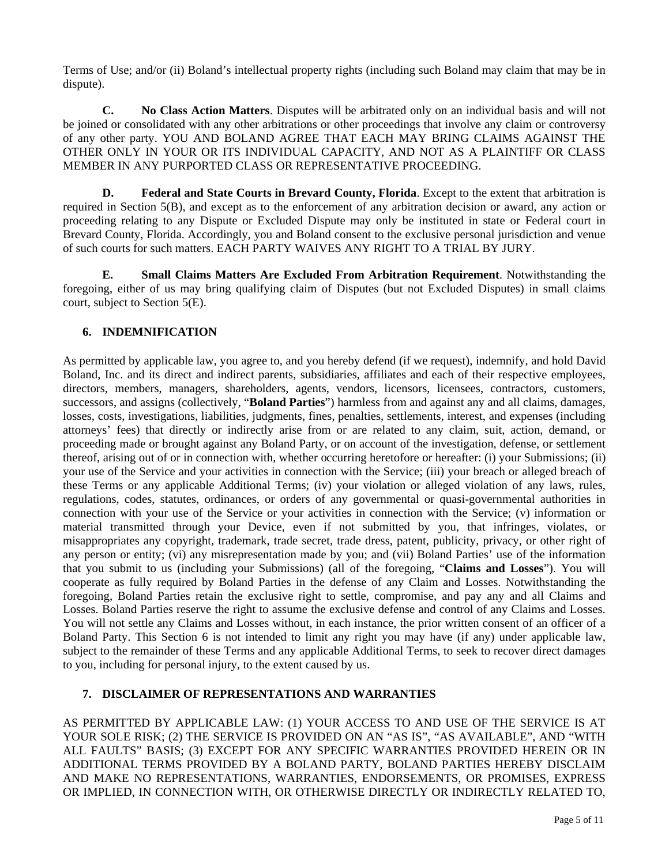Terms of Use; and/or (ii) Boland's intellectual property rights (including such Boland may claim that may be in dispute).

**C. No Class Action Matters**. Disputes will be arbitrated only on an individual basis and will not be joined or consolidated with any other arbitrations or other proceedings that involve any claim or controversy of any other party. YOU AND BOLAND AGREE THAT EACH MAY BRING CLAIMS AGAINST THE OTHER ONLY IN YOUR OR ITS INDIVIDUAL CAPACITY, AND NOT AS A PLAINTIFF OR CLASS MEMBER IN ANY PURPORTED CLASS OR REPRESENTATIVE PROCEEDING.

**D. Federal and State Courts in Brevard County, Florida**. Except to the extent that arbitration is required in Section 5(B), and except as to the enforcement of any arbitration decision or award, any action or proceeding relating to any Dispute or Excluded Dispute may only be instituted in state or Federal court in Brevard County, Florida. Accordingly, you and Boland consent to the exclusive personal jurisdiction and venue of such courts for such matters. EACH PARTY WAIVES ANY RIGHT TO A TRIAL BY JURY.

**E. Small Claims Matters Are Excluded From Arbitration Requirement**. Notwithstanding the foregoing, either of us may bring qualifying claim of Disputes (but not Excluded Disputes) in small claims court, subject to Section 5(E).

# **6. INDEMNIFICATION**

As permitted by applicable law, you agree to, and you hereby defend (if we request), indemnify, and hold David Boland, Inc. and its direct and indirect parents, subsidiaries, affiliates and each of their respective employees, directors, members, managers, shareholders, agents, vendors, licensors, licensees, contractors, customers, successors, and assigns (collectively, "**Boland Parties**") harmless from and against any and all claims, damages, losses, costs, investigations, liabilities, judgments, fines, penalties, settlements, interest, and expenses (including attorneys' fees) that directly or indirectly arise from or are related to any claim, suit, action, demand, or proceeding made or brought against any Boland Party, or on account of the investigation, defense, or settlement thereof, arising out of or in connection with, whether occurring heretofore or hereafter: (i) your Submissions; (ii) your use of the Service and your activities in connection with the Service; (iii) your breach or alleged breach of these Terms or any applicable Additional Terms; (iv) your violation or alleged violation of any laws, rules, regulations, codes, statutes, ordinances, or orders of any governmental or quasi-governmental authorities in connection with your use of the Service or your activities in connection with the Service; (v) information or material transmitted through your Device, even if not submitted by you, that infringes, violates, or misappropriates any copyright, trademark, trade secret, trade dress, patent, publicity, privacy, or other right of any person or entity; (vi) any misrepresentation made by you; and (vii) Boland Parties' use of the information that you submit to us (including your Submissions) (all of the foregoing, "**Claims and Losses**"). You will cooperate as fully required by Boland Parties in the defense of any Claim and Losses. Notwithstanding the foregoing, Boland Parties retain the exclusive right to settle, compromise, and pay any and all Claims and Losses. Boland Parties reserve the right to assume the exclusive defense and control of any Claims and Losses. You will not settle any Claims and Losses without, in each instance, the prior written consent of an officer of a Boland Party. This Section 6 is not intended to limit any right you may have (if any) under applicable law, subject to the remainder of these Terms and any applicable Additional Terms, to seek to recover direct damages to you, including for personal injury, to the extent caused by us.

# **7. DISCLAIMER OF REPRESENTATIONS AND WARRANTIES**

AS PERMITTED BY APPLICABLE LAW: (1) YOUR ACCESS TO AND USE OF THE SERVICE IS AT YOUR SOLE RISK; (2) THE SERVICE IS PROVIDED ON AN "AS IS", "AS AVAILABLE", AND "WITH ALL FAULTS" BASIS; (3) EXCEPT FOR ANY SPECIFIC WARRANTIES PROVIDED HEREIN OR IN ADDITIONAL TERMS PROVIDED BY A BOLAND PARTY, BOLAND PARTIES HEREBY DISCLAIM AND MAKE NO REPRESENTATIONS, WARRANTIES, ENDORSEMENTS, OR PROMISES, EXPRESS OR IMPLIED, IN CONNECTION WITH, OR OTHERWISE DIRECTLY OR INDIRECTLY RELATED TO,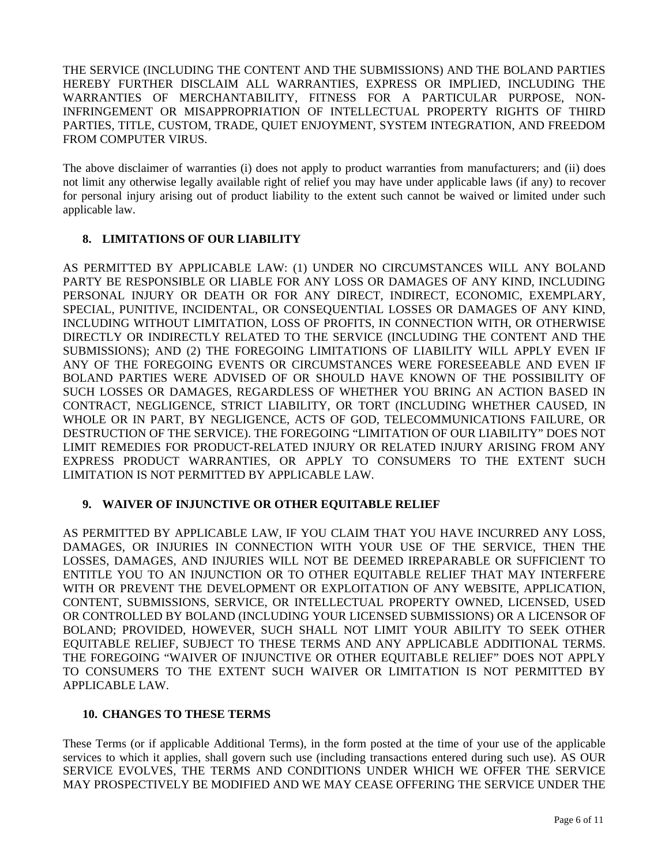THE SERVICE (INCLUDING THE CONTENT AND THE SUBMISSIONS) AND THE BOLAND PARTIES HEREBY FURTHER DISCLAIM ALL WARRANTIES, EXPRESS OR IMPLIED, INCLUDING THE WARRANTIES OF MERCHANTABILITY, FITNESS FOR A PARTICULAR PURPOSE, NON-INFRINGEMENT OR MISAPPROPRIATION OF INTELLECTUAL PROPERTY RIGHTS OF THIRD PARTIES, TITLE, CUSTOM, TRADE, QUIET ENJOYMENT, SYSTEM INTEGRATION, AND FREEDOM FROM COMPUTER VIRUS.

The above disclaimer of warranties (i) does not apply to product warranties from manufacturers; and (ii) does not limit any otherwise legally available right of relief you may have under applicable laws (if any) to recover for personal injury arising out of product liability to the extent such cannot be waived or limited under such applicable law.

### **8. LIMITATIONS OF OUR LIABILITY**

AS PERMITTED BY APPLICABLE LAW: (1) UNDER NO CIRCUMSTANCES WILL ANY BOLAND PARTY BE RESPONSIBLE OR LIABLE FOR ANY LOSS OR DAMAGES OF ANY KIND, INCLUDING PERSONAL INJURY OR DEATH OR FOR ANY DIRECT, INDIRECT, ECONOMIC, EXEMPLARY, SPECIAL, PUNITIVE, INCIDENTAL, OR CONSEQUENTIAL LOSSES OR DAMAGES OF ANY KIND, INCLUDING WITHOUT LIMITATION, LOSS OF PROFITS, IN CONNECTION WITH, OR OTHERWISE DIRECTLY OR INDIRECTLY RELATED TO THE SERVICE (INCLUDING THE CONTENT AND THE SUBMISSIONS); AND (2) THE FOREGOING LIMITATIONS OF LIABILITY WILL APPLY EVEN IF ANY OF THE FOREGOING EVENTS OR CIRCUMSTANCES WERE FORESEEABLE AND EVEN IF BOLAND PARTIES WERE ADVISED OF OR SHOULD HAVE KNOWN OF THE POSSIBILITY OF SUCH LOSSES OR DAMAGES, REGARDLESS OF WHETHER YOU BRING AN ACTION BASED IN CONTRACT, NEGLIGENCE, STRICT LIABILITY, OR TORT (INCLUDING WHETHER CAUSED, IN WHOLE OR IN PART, BY NEGLIGENCE, ACTS OF GOD, TELECOMMUNICATIONS FAILURE, OR DESTRUCTION OF THE SERVICE). THE FOREGOING "LIMITATION OF OUR LIABILITY" DOES NOT LIMIT REMEDIES FOR PRODUCT-RELATED INJURY OR RELATED INJURY ARISING FROM ANY EXPRESS PRODUCT WARRANTIES, OR APPLY TO CONSUMERS TO THE EXTENT SUCH LIMITATION IS NOT PERMITTED BY APPLICABLE LAW.

# **9. WAIVER OF INJUNCTIVE OR OTHER EQUITABLE RELIEF**

AS PERMITTED BY APPLICABLE LAW, IF YOU CLAIM THAT YOU HAVE INCURRED ANY LOSS, DAMAGES, OR INJURIES IN CONNECTION WITH YOUR USE OF THE SERVICE, THEN THE LOSSES, DAMAGES, AND INJURIES WILL NOT BE DEEMED IRREPARABLE OR SUFFICIENT TO ENTITLE YOU TO AN INJUNCTION OR TO OTHER EQUITABLE RELIEF THAT MAY INTERFERE WITH OR PREVENT THE DEVELOPMENT OR EXPLOITATION OF ANY WEBSITE, APPLICATION, CONTENT, SUBMISSIONS, SERVICE, OR INTELLECTUAL PROPERTY OWNED, LICENSED, USED OR CONTROLLED BY BOLAND (INCLUDING YOUR LICENSED SUBMISSIONS) OR A LICENSOR OF BOLAND; PROVIDED, HOWEVER, SUCH SHALL NOT LIMIT YOUR ABILITY TO SEEK OTHER EQUITABLE RELIEF, SUBJECT TO THESE TERMS AND ANY APPLICABLE ADDITIONAL TERMS. THE FOREGOING "WAIVER OF INJUNCTIVE OR OTHER EQUITABLE RELIEF" DOES NOT APPLY TO CONSUMERS TO THE EXTENT SUCH WAIVER OR LIMITATION IS NOT PERMITTED BY APPLICABLE LAW.

# **10. CHANGES TO THESE TERMS**

These Terms (or if applicable Additional Terms), in the form posted at the time of your use of the applicable services to which it applies, shall govern such use (including transactions entered during such use). AS OUR SERVICE EVOLVES, THE TERMS AND CONDITIONS UNDER WHICH WE OFFER THE SERVICE MAY PROSPECTIVELY BE MODIFIED AND WE MAY CEASE OFFERING THE SERVICE UNDER THE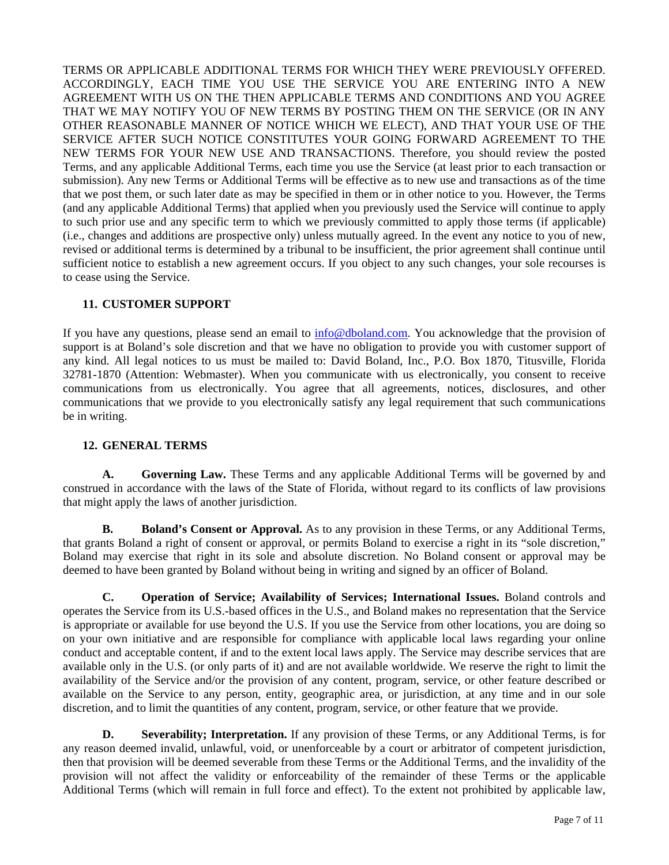TERMS OR APPLICABLE ADDITIONAL TERMS FOR WHICH THEY WERE PREVIOUSLY OFFERED. ACCORDINGLY, EACH TIME YOU USE THE SERVICE YOU ARE ENTERING INTO A NEW AGREEMENT WITH US ON THE THEN APPLICABLE TERMS AND CONDITIONS AND YOU AGREE THAT WE MAY NOTIFY YOU OF NEW TERMS BY POSTING THEM ON THE SERVICE (OR IN ANY OTHER REASONABLE MANNER OF NOTICE WHICH WE ELECT), AND THAT YOUR USE OF THE SERVICE AFTER SUCH NOTICE CONSTITUTES YOUR GOING FORWARD AGREEMENT TO THE NEW TERMS FOR YOUR NEW USE AND TRANSACTIONS. Therefore, you should review the posted Terms, and any applicable Additional Terms, each time you use the Service (at least prior to each transaction or submission). Any new Terms or Additional Terms will be effective as to new use and transactions as of the time that we post them, or such later date as may be specified in them or in other notice to you. However, the Terms (and any applicable Additional Terms) that applied when you previously used the Service will continue to apply to such prior use and any specific term to which we previously committed to apply those terms (if applicable) (i.e., changes and additions are prospective only) unless mutually agreed. In the event any notice to you of new, revised or additional terms is determined by a tribunal to be insufficient, the prior agreement shall continue until sufficient notice to establish a new agreement occurs. If you object to any such changes, your sole recourses is to cease using the Service.

# **11. CUSTOMER SUPPORT**

If you have any questions, please send an email to info@dboland.com. You acknowledge that the provision of support is at Boland's sole discretion and that we have no obligation to provide you with customer support of any kind. All legal notices to us must be mailed to: David Boland, Inc., P.O. Box 1870, Titusville, Florida 32781-1870 (Attention: Webmaster). When you communicate with us electronically, you consent to receive communications from us electronically. You agree that all agreements, notices, disclosures, and other communications that we provide to you electronically satisfy any legal requirement that such communications be in writing.

### **12. GENERAL TERMS**

**A. Governing Law.** These Terms and any applicable Additional Terms will be governed by and construed in accordance with the laws of the State of Florida, without regard to its conflicts of law provisions that might apply the laws of another jurisdiction.

**B. Boland's Consent or Approval.** As to any provision in these Terms, or any Additional Terms, that grants Boland a right of consent or approval, or permits Boland to exercise a right in its "sole discretion," Boland may exercise that right in its sole and absolute discretion. No Boland consent or approval may be deemed to have been granted by Boland without being in writing and signed by an officer of Boland.

**C. Operation of Service; Availability of Services; International Issues.** Boland controls and operates the Service from its U.S.-based offices in the U.S., and Boland makes no representation that the Service is appropriate or available for use beyond the U.S. If you use the Service from other locations, you are doing so on your own initiative and are responsible for compliance with applicable local laws regarding your online conduct and acceptable content, if and to the extent local laws apply. The Service may describe services that are available only in the U.S. (or only parts of it) and are not available worldwide. We reserve the right to limit the availability of the Service and/or the provision of any content, program, service, or other feature described or available on the Service to any person, entity, geographic area, or jurisdiction, at any time and in our sole discretion, and to limit the quantities of any content, program, service, or other feature that we provide.

**D. Severability; Interpretation.** If any provision of these Terms, or any Additional Terms, is for any reason deemed invalid, unlawful, void, or unenforceable by a court or arbitrator of competent jurisdiction, then that provision will be deemed severable from these Terms or the Additional Terms, and the invalidity of the provision will not affect the validity or enforceability of the remainder of these Terms or the applicable Additional Terms (which will remain in full force and effect). To the extent not prohibited by applicable law,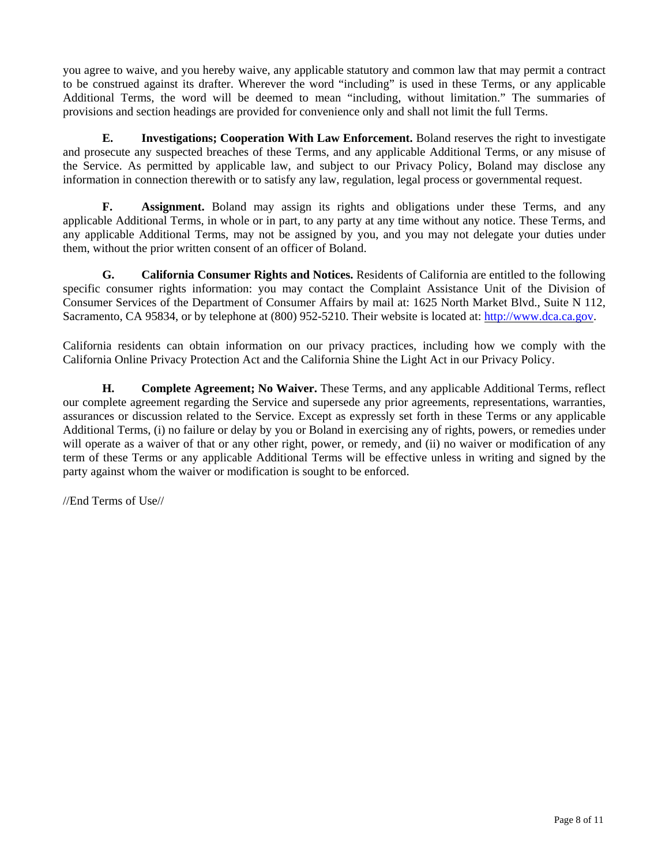you agree to waive, and you hereby waive, any applicable statutory and common law that may permit a contract to be construed against its drafter. Wherever the word "including" is used in these Terms, or any applicable Additional Terms, the word will be deemed to mean "including, without limitation." The summaries of provisions and section headings are provided for convenience only and shall not limit the full Terms.

**E. Investigations; Cooperation With Law Enforcement.** Boland reserves the right to investigate and prosecute any suspected breaches of these Terms, and any applicable Additional Terms, or any misuse of the Service. As permitted by applicable law, and subject to our Privacy Policy, Boland may disclose any information in connection therewith or to satisfy any law, regulation, legal process or governmental request.

**F. Assignment.** Boland may assign its rights and obligations under these Terms, and any applicable Additional Terms, in whole or in part, to any party at any time without any notice. These Terms, and any applicable Additional Terms, may not be assigned by you, and you may not delegate your duties under them, without the prior written consent of an officer of Boland.

**G. California Consumer Rights and Notices.** Residents of California are entitled to the following specific consumer rights information: you may contact the Complaint Assistance Unit of the Division of Consumer Services of the Department of Consumer Affairs by mail at: 1625 North Market Blvd., Suite N 112, Sacramento, CA 95834, or by telephone at (800) 952-5210. Their website is located at: http://www.dca.ca.gov.

California residents can obtain information on our privacy practices, including how we comply with the California Online Privacy Protection Act and the California Shine the Light Act in our Privacy Policy.

**H. Complete Agreement; No Waiver.** These Terms, and any applicable Additional Terms, reflect our complete agreement regarding the Service and supersede any prior agreements, representations, warranties, assurances or discussion related to the Service. Except as expressly set forth in these Terms or any applicable Additional Terms, (i) no failure or delay by you or Boland in exercising any of rights, powers, or remedies under will operate as a waiver of that or any other right, power, or remedy, and (ii) no waiver or modification of any term of these Terms or any applicable Additional Terms will be effective unless in writing and signed by the party against whom the waiver or modification is sought to be enforced.

//End Terms of Use//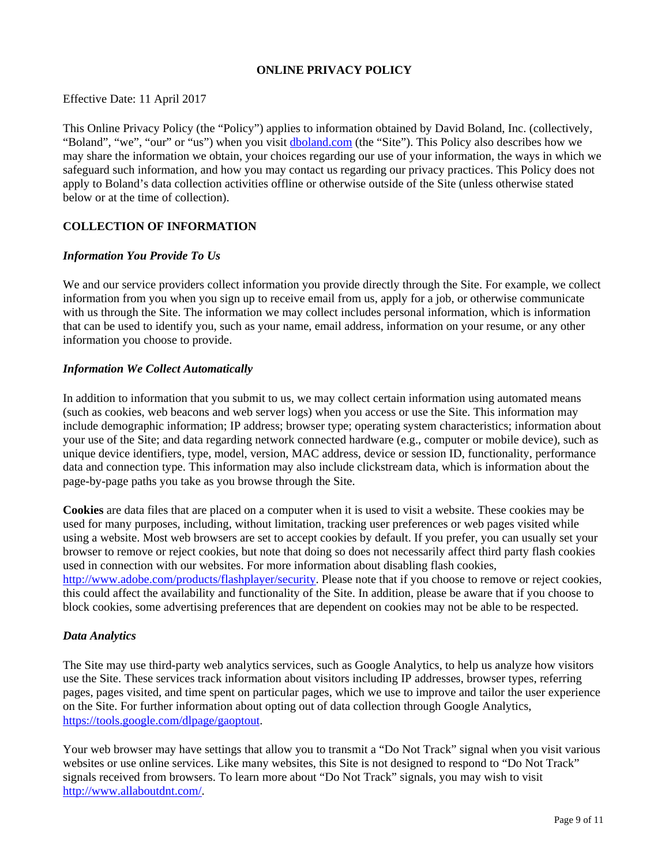## **ONLINE PRIVACY POLICY**

### Effective Date: 11 April 2017

This Online Privacy Policy (the "Policy") applies to information obtained by David Boland, Inc. (collectively, "Boland", "we", "our" or "us") when you visit dboland.com (the "Site"). This Policy also describes how we may share the information we obtain, your choices regarding our use of your information, the ways in which we safeguard such information, and how you may contact us regarding our privacy practices. This Policy does not apply to Boland's data collection activities offline or otherwise outside of the Site (unless otherwise stated below or at the time of collection).

# **COLLECTION OF INFORMATION**

#### *Information You Provide To Us*

We and our service providers collect information you provide directly through the Site. For example, we collect information from you when you sign up to receive email from us, apply for a job, or otherwise communicate with us through the Site. The information we may collect includes personal information, which is information that can be used to identify you, such as your name, email address, information on your resume, or any other information you choose to provide.

#### *Information We Collect Automatically*

In addition to information that you submit to us, we may collect certain information using automated means (such as cookies, web beacons and web server logs) when you access or use the Site. This information may include demographic information; IP address; browser type; operating system characteristics; information about your use of the Site; and data regarding network connected hardware (e.g., computer or mobile device), such as unique device identifiers, type, model, version, MAC address, device or session ID, functionality, performance data and connection type. This information may also include clickstream data, which is information about the page-by-page paths you take as you browse through the Site.

**Cookies** are data files that are placed on a computer when it is used to visit a website. These cookies may be used for many purposes, including, without limitation, tracking user preferences or web pages visited while using a website. Most web browsers are set to accept cookies by default. If you prefer, you can usually set your browser to remove or reject cookies, but note that doing so does not necessarily affect third party flash cookies used in connection with our websites. For more information about disabling flash cookies, http://www.adobe.com/products/flashplayer/security. Please note that if you choose to remove or reject cookies, this could affect the availability and functionality of the Site. In addition, please be aware that if you choose to block cookies, some advertising preferences that are dependent on cookies may not be able to be respected.

#### *Data Analytics*

The Site may use third-party web analytics services, such as Google Analytics, to help us analyze how visitors use the Site. These services track information about visitors including IP addresses, browser types, referring pages, pages visited, and time spent on particular pages, which we use to improve and tailor the user experience on the Site. For further information about opting out of data collection through Google Analytics, https://tools.google.com/dlpage/gaoptout.

Your web browser may have settings that allow you to transmit a "Do Not Track" signal when you visit various websites or use online services. Like many websites, this Site is not designed to respond to "Do Not Track" signals received from browsers. To learn more about "Do Not Track" signals, you may wish to visit http://www.allaboutdnt.com/.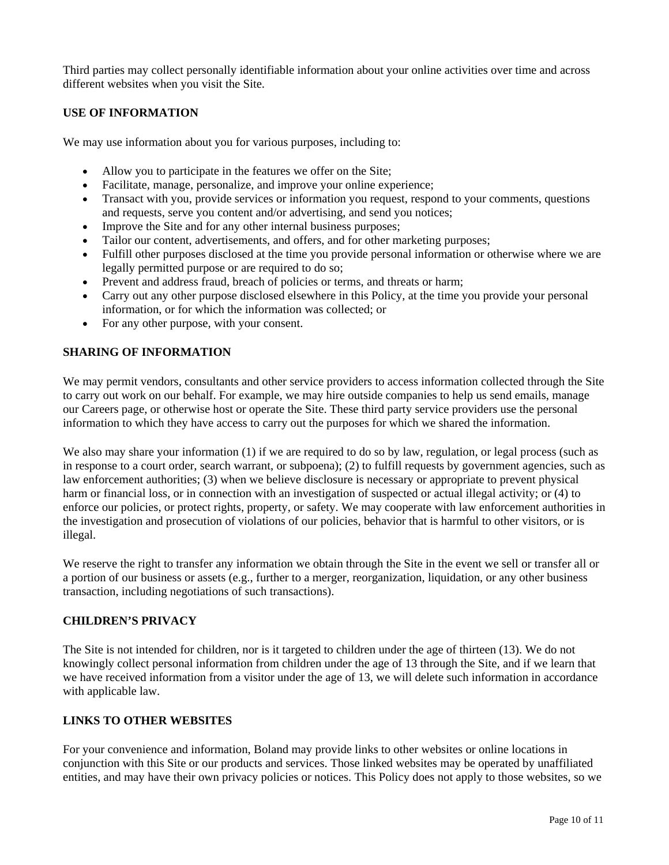Third parties may collect personally identifiable information about your online activities over time and across different websites when you visit the Site.

### **USE OF INFORMATION**

We may use information about you for various purposes, including to:

- Allow you to participate in the features we offer on the Site;
- Facilitate, manage, personalize, and improve your online experience;
- Transact with you, provide services or information you request, respond to your comments, questions and requests, serve you content and/or advertising, and send you notices;
- Improve the Site and for any other internal business purposes;
- Tailor our content, advertisements, and offers, and for other marketing purposes;
- Fulfill other purposes disclosed at the time you provide personal information or otherwise where we are legally permitted purpose or are required to do so;
- Prevent and address fraud, breach of policies or terms, and threats or harm;
- Carry out any other purpose disclosed elsewhere in this Policy, at the time you provide your personal information, or for which the information was collected; or
- For any other purpose, with your consent.

## **SHARING OF INFORMATION**

We may permit vendors, consultants and other service providers to access information collected through the Site to carry out work on our behalf. For example, we may hire outside companies to help us send emails, manage our Careers page, or otherwise host or operate the Site. These third party service providers use the personal information to which they have access to carry out the purposes for which we shared the information.

We also may share your information (1) if we are required to do so by law, regulation, or legal process (such as in response to a court order, search warrant, or subpoena); (2) to fulfill requests by government agencies, such as law enforcement authorities; (3) when we believe disclosure is necessary or appropriate to prevent physical harm or financial loss, or in connection with an investigation of suspected or actual illegal activity; or (4) to enforce our policies, or protect rights, property, or safety. We may cooperate with law enforcement authorities in the investigation and prosecution of violations of our policies, behavior that is harmful to other visitors, or is illegal.

We reserve the right to transfer any information we obtain through the Site in the event we sell or transfer all or a portion of our business or assets (e.g., further to a merger, reorganization, liquidation, or any other business transaction, including negotiations of such transactions).

### **CHILDREN'S PRIVACY**

The Site is not intended for children, nor is it targeted to children under the age of thirteen (13). We do not knowingly collect personal information from children under the age of 13 through the Site, and if we learn that we have received information from a visitor under the age of 13, we will delete such information in accordance with applicable law.

### **LINKS TO OTHER WEBSITES**

For your convenience and information, Boland may provide links to other websites or online locations in conjunction with this Site or our products and services. Those linked websites may be operated by unaffiliated entities, and may have their own privacy policies or notices. This Policy does not apply to those websites, so we